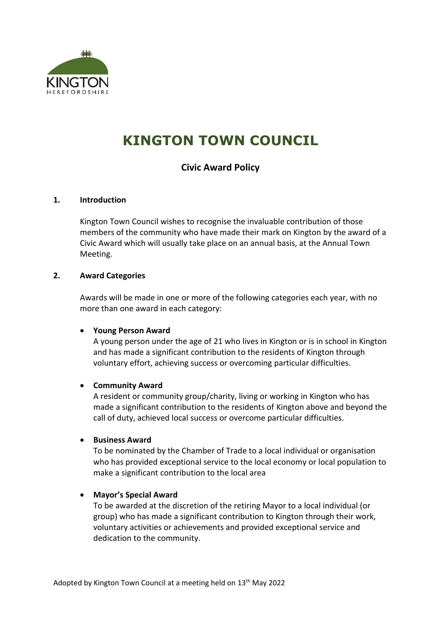

# **KINGTON TOWN COUNCIL**

# **Civic Award Policy**

#### **1. Introduction**

Kington Town Council wishes to recognise the invaluable contribution of those members of the community who have made their mark on Kington by the award of a Civic Award which will usually take place on an annual basis, at the Annual Town Meeting.

#### **2. Award Categories**

Awards will be made in one or more of the following categories each year, with no more than one award in each category:

#### • **Young Person Award**

A young person under the age of 21 who lives in Kington or is in school in Kington and has made a significant contribution to the residents of Kington through voluntary effort, achieving success or overcoming particular difficulties.

# • **Community Award**

A resident or community group/charity, living or working in Kington who has made a significant contribution to the residents of Kington above and beyond the call of duty, achieved local success or overcome particular difficulties.

# • **Business Award**

To be nominated by the Chamber of Trade to a local individual or organisation who has provided exceptional service to the local economy or local population to make a significant contribution to the local area

# • **Mayor's Special Award**

To be awarded at the discretion of the retiring Mayor to a local individual (or group) who has made a significant contribution to Kington through their work, voluntary activities or achievements and provided exceptional service and dedication to the community.